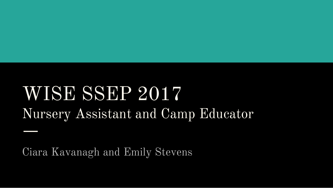### WISE SSEP 2017 Nursery Assistant and Camp Educator

Ciara Kavanagh and Emily Stevens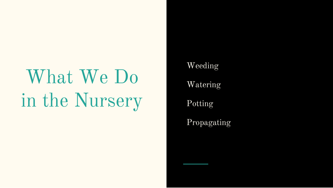### What We Do in the Nursery

Weeding

Watering

Potting

Propagating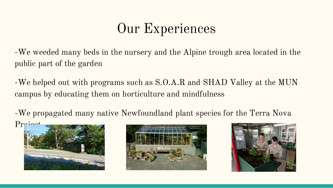### Our Experiences

-We weeded many beds in the nursery and the Alpine trough area located in the public part of the garden

-We helped out with programs such as S.O.A.R and SHAD Valley at the MUN campus by educating them on horticulture and mindfulness

-We propagated many native Newfoundland plant species for the Terra Nova Project





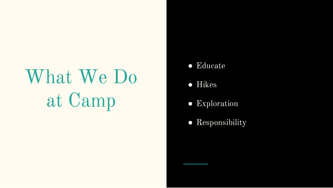## What We Do at Camp

- Educate
- Hikes
- Exploration
- Responsibility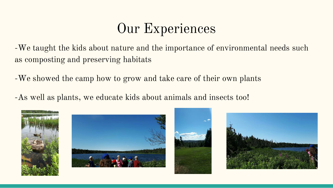### Our Experiences

-We taught the kids about nature and the importance of environmental needs such as composting and preserving habitats

-We showed the camp how to grow and take care of their own plants

-As well as plants, we educate kids about animals and insects too!







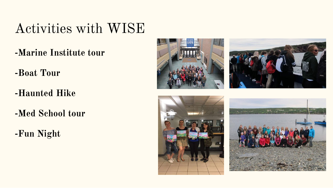#### Activities with WISE

- **-Marine Institute tour**
- **-Boat Tour**
- **-Haunted Hike**
- **-Med School tour**
- **-Fun Night**